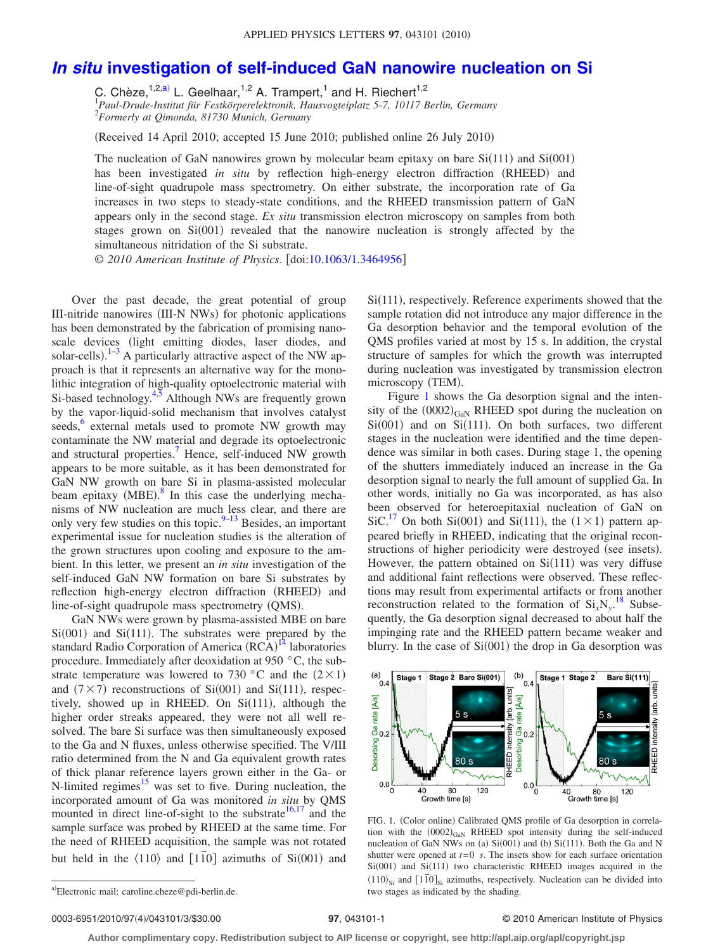## *In situ* **[investigation of self-induced GaN nanowire nucleation on Si](http://dx.doi.org/10.1063/1.3464956)**

C. Chèze,<sup>1,2[,a](#page-0-0))</sup> L. Geelhaar,<sup>1,2</sup> A. Trampert,<sup>1</sup> and H. Riechert<sup>1,2</sup><br><sup>1</sup> Paul-Drude-Institut für Festkörperelektronik, Hausvogteiplatz 5-7, 10117 Berlin, Germany 2 *Formerly at Qimonda, 81730 Munich, Germany*

(Received 14 April 2010; accepted 15 June 2010; published online 26 July 2010)

The nucleation of GaN nanowires grown by molecular beam epitaxy on bare  $Si(111)$  and  $Si(001)$ has been investigated *in situ* by reflection high-energy electron diffraction (RHEED) and line-of-sight quadrupole mass spectrometry. On either substrate, the incorporation rate of Ga increases in two steps to steady-state conditions, and the RHEED transmission pattern of GaN appears only in the second stage. *Ex situ* transmission electron microscopy on samples from both stages grown on Si(001) revealed that the nanowire nucleation is strongly affected by the simultaneous nitridation of the Si substrate.

© *2010 American Institute of Physics*. doi[:10.1063/1.3464956](http://dx.doi.org/10.1063/1.3464956)

Over the past decade, the great potential of group III-nitride nanowires (III-N NWs) for photonic applications has been demonstrated by the fabrication of promising nanoscale devices (light emitting diodes, laser diodes, and solar-cells).<sup>1-[3](#page-2-1)</sup> A particularly attractive aspect of the NW approach is that it represents an alternative way for the monolithic integration of high-quality optoelectronic material with Si-based technology.<sup>4[,5](#page-2-3)</sup> Although NWs are frequently grown by the vapor-liquid-solid mechanism that involves catalyst seeds,<sup>6</sup> external metals used to promote NW growth may contaminate the NW material and degrade its optoelectronic and structural properties.<sup>7</sup> Hence, self-induced NW growth appears to be more suitable, as it has been demonstrated for GaN NW growth on bare Si in plasma-assisted molecular beam epitaxy (MBE). $8$  In this case the underlying mechanisms of NW nucleation are much less clear, and there are only very few studies on this topic. $9-13$  Besides, an important experimental issue for nucleation studies is the alteration of the grown structures upon cooling and exposure to the ambient. In this letter, we present an *in situ* investigation of the self-induced GaN NW formation on bare Si substrates by reflection high-energy electron diffraction (RHEED) and line-of-sight quadrupole mass spectrometry (QMS).

GaN NWs were grown by plasma-assisted MBE on bare  $Si(001)$  and  $Si(111)$ . The substrates were prepared by the standard Radio Corporation of America (RCA)<sup>[14](#page-2-9)</sup> laboratories procedure. Immediately after deoxidation at 950 °C, the substrate temperature was lowered to 730 °C and the  $(2 \times 1)$ and  $(7 \times 7)$  reconstructions of Si $(001)$  and Si $(111)$ , respectively, showed up in RHEED. On  $Si(111)$ , although the higher order streaks appeared, they were not all well resolved. The bare Si surface was then simultaneously exposed to the Ga and N fluxes, unless otherwise specified. The V/III ratio determined from the N and Ga equivalent growth rates of thick planar reference layers grown either in the Ga- or N-limited regimes<sup>15</sup> was set to five. During nucleation, the incorporated amount of Ga was monitored *in situ* by QMS mounted in direct line-of-sight to the substrate  $16,17$  $16,17$  and the sample surface was probed by RHEED at the same time. For the need of RHEED acquisition, the sample was not rotated but held in the  $\langle 110 \rangle$  and  $\langle 110 \rangle$  azimuths of Si $(001)$  and

Si(111), respectively. Reference experiments showed that the sample rotation did not introduce any major difference in the Ga desorption behavior and the temporal evolution of the QMS profiles varied at most by 15 s. In addition, the crystal structure of samples for which the growth was interrupted during nucleation was investigated by transmission electron microscopy (TEM).

Figure [1](#page-0-1) shows the Ga desorption signal and the intensity of the  $(0002)_{\text{GaN}}$  RHEED spot during the nucleation on  $Si(001)$  and on  $Si(111)$ . On both surfaces, two different stages in the nucleation were identified and the time dependence was similar in both cases. During stage 1, the opening of the shutters immediately induced an increase in the Ga desorption signal to nearly the full amount of supplied Ga. In other words, initially no Ga was incorporated, as has also been observed for heteroepitaxial nucleation of GaN on SiC.<sup>17</sup> On both Si(001) and Si(111), the  $(1 \times 1)$  pattern appeared briefly in RHEED, indicating that the original reconstructions of higher periodicity were destroyed (see insets). However, the pattern obtained on  $Si(111)$  was very diffuse and additional faint reflections were observed. These reflections may result from experimental artifacts or from another reconstruction related to the formation of  $Si_xN_y$ .<sup>[18](#page-2-13)</sup> Subsequently, the Ga desorption signal decreased to about half the impinging rate and the RHEED pattern became weaker and blurry. In the case of  $Si(001)$  the drop in Ga desorption was

<span id="page-0-1"></span>

FIG. 1. (Color online) Calibrated QMS profile of Ga desorption in correlation with the  $(0002)_{\text{GaN}}$  RHEED spot intensity during the self-induced nucleation of GaN NWs on (a)  $Si(001)$  and (b)  $Si(111)$ . Both the Ga and N shutter were opened at  $t=0$  *s*. The insets show for each surface orientation Si(001) and Si(111) two characteristic RHEED images acquired in the  $\langle 110 \rangle_{Si}$  and  $\langle 110 \rangle_{Si}$  azimuths, respectively. Nucleation can be divided into two stages as indicated by the shading.

0003-6951/2010/97(4)/043101/3/\$30.00

## /043101/3/\$30.00 © 2010 American Institute of Physics **97**, 043101-1

**Author complimentary copy. Redistribution subject to AIP license or copyright, see http://apl.aip.org/apl/copyright.jsp**

<span id="page-0-0"></span>a)Electronic mail: caroline.cheze@pdi-berlin.de.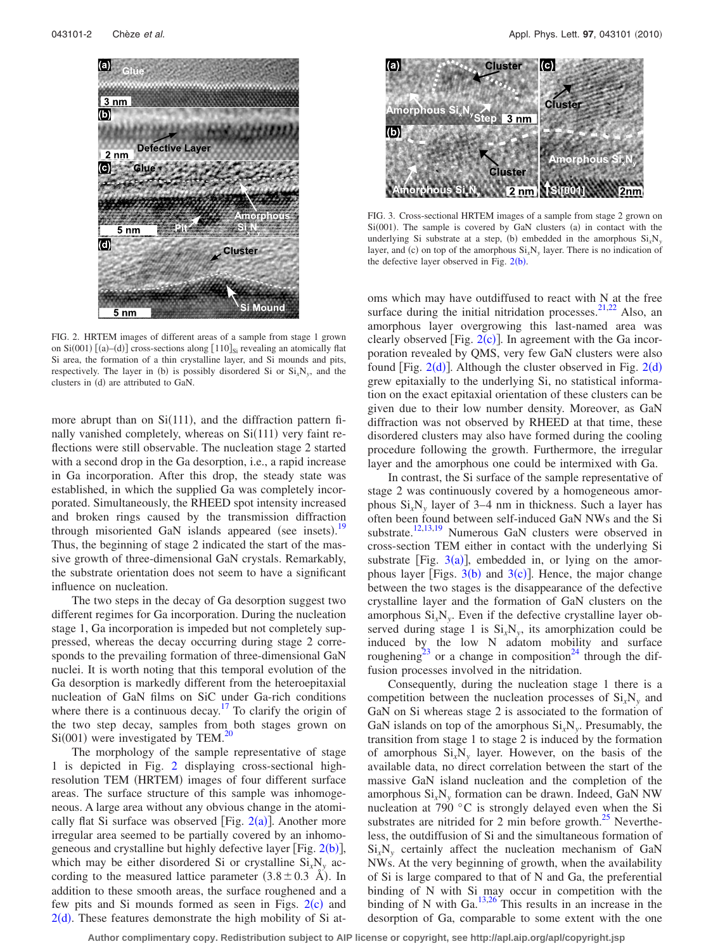<span id="page-1-0"></span>

FIG. 2. HRTEM images of different areas of a sample from stage 1 grown on  $Si(001)$  [(a)–(d)] cross-sections along [110]<sub>Si</sub> revealing an atomically flat Si area, the formation of a thin crystalline layer, and Si mounds and pits, respectively. The layer in (b) is possibly disordered Si or  $Si_xN_y$ , and the clusters in (d) are attributed to GaN.

more abrupt than on  $Si(111)$ , and the diffraction pattern finally vanished completely, whereas on Si(111) very faint reflections were still observable. The nucleation stage 2 started with a second drop in the Ga desorption, i.e., a rapid increase in Ga incorporation. After this drop, the steady state was established, in which the supplied Ga was completely incorporated. Simultaneously, the RHEED spot intensity increased and broken rings caused by the transmission diffraction through misoriented GaN islands appeared (see insets).<sup>[19](#page-2-14)</sup> Thus, the beginning of stage 2 indicated the start of the massive growth of three-dimensional GaN crystals. Remarkably, the substrate orientation does not seem to have a significant influence on nucleation.

The two steps in the decay of Ga desorption suggest two different regimes for Ga incorporation. During the nucleation stage 1, Ga incorporation is impeded but not completely suppressed, whereas the decay occurring during stage 2 corresponds to the prevailing formation of three-dimensional GaN nuclei. It is worth noting that this temporal evolution of the Ga desorption is markedly different from the heteroepitaxial nucleation of GaN films on SiC under Ga-rich conditions where there is a continuous decay.<sup>17</sup> To clarify the origin of the two step decay, samples from both stages grown on  $Si(001)$  were investigated by TEM.<sup>20</sup>

The morphology of the sample representative of stage 1 is depicted in Fig. [2](#page-1-0) displaying cross-sectional highresolution TEM (HRTEM) images of four different surface areas. The surface structure of this sample was inhomogeneous. A large area without any obvious change in the atomically flat Si surface was observed [Fig.  $2(a)$  $2(a)$ ]. Another more irregular area seemed to be partially covered by an inhomogeneous and crystalline but highly defective layer [Fig.  $2(b)$  $2(b)$ ], which may be either disordered Si or crystalline Si*x*N*<sup>y</sup>* according to the measured lattice parameter  $(3.8 \pm 0.3 \text{ Å})$ . In addition to these smooth areas, the surface roughened and a few pits and Si mounds formed as seen in Figs.  $2(c)$  $2(c)$  and  $2(d)$  $2(d)$ . These features demonstrate the high mobility of Si at-

<span id="page-1-1"></span>

FIG. 3. Cross-sectional HRTEM images of a sample from stage 2 grown on  $Si(001)$ . The sample is covered by GaN clusters (a) in contact with the underlying Si substrate at a step, (b) embedded in the amorphous  $Si_xN_y$ layer, and (c) on top of the amorphous  $Si_xN_y$  layer. There is no indication of the defective layer observed in Fig.  $2(b)$  $2(b)$ .

oms which may have outdiffused to react with N at the free surface during the initial nitridation processes. $21,22$  $21,22$  Also, an amorphous layer overgrowing this last-named area was clearly observed [Fig.  $2(c)$  $2(c)$ ]. In agreement with the Ga incorporation revealed by QMS, very few GaN clusters were also found [Fig.  $2(d)$  $2(d)$ ]. Although the cluster observed in Fig.  $2(d)$ grew epitaxially to the underlying Si, no statistical information on the exact epitaxial orientation of these clusters can be given due to their low number density. Moreover, as GaN diffraction was not observed by RHEED at that time, these disordered clusters may also have formed during the cooling procedure following the growth. Furthermore, the irregular layer and the amorphous one could be intermixed with Ga.

In contrast, the Si surface of the sample representative of stage 2 was continuously covered by a homogeneous amorphous  $Si<sub>x</sub>N<sub>y</sub>$  layer of 3–4 nm in thickness. Such a layer has often been found between self-induced GaN NWs and the Si substrate.<sup>12[,13,](#page-2-8)[19](#page-2-14)</sup> Numerous GaN clusters were observed in cross-section TEM either in contact with the underlying Si substrate [Fig.  $3(a)$  $3(a)$ ], embedded in, or lying on the amorphous layer [Figs.  $3(b)$  $3(b)$  and  $3(c)$ ]. Hence, the major change between the two stages is the disappearance of the defective crystalline layer and the formation of GaN clusters on the amorphous  $Si_xN_y$ . Even if the defective crystalline layer observed during stage 1 is  $Si<sub>x</sub>N<sub>y</sub>$ , its amorphization could be induced by the low N adatom mobility and surface roughening<sup>23</sup> or a change in composition<sup>24</sup> through the diffusion processes involved in the nitridation.

Consequently, during the nucleation stage 1 there is a competition between the nucleation processes of  $Si<sub>x</sub>N<sub>y</sub>$  and GaN on Si whereas stage 2 is associated to the formation of GaN islands on top of the amorphous Si*x*N*y*. Presumably, the transition from stage 1 to stage 2 is induced by the formation of amorphous Si*x*N*<sup>y</sup>* layer. However, on the basis of the available data, no direct correlation between the start of the massive GaN island nucleation and the completion of the amorphous Si*x*N*<sup>y</sup>* formation can be drawn. Indeed, GaN NW nucleation at 790 °C is strongly delayed even when the Si substrates are nitrided for 2 min before growth. $^{25}$  Nevertheless, the outdiffusion of Si and the simultaneous formation of Si*x*N*<sup>y</sup>* certainly affect the nucleation mechanism of GaN NWs. At the very beginning of growth, when the availability of Si is large compared to that of N and Ga, the preferential binding of N with Si may occur in competition with the binding of N with Ga. $13,26$  $13,26$  This results in an increase in the desorption of Ga, comparable to some extent with the one

**Author complimentary copy. Redistribution subject to AIP license or copyright, see http://apl.aip.org/apl/copyright.jsp**